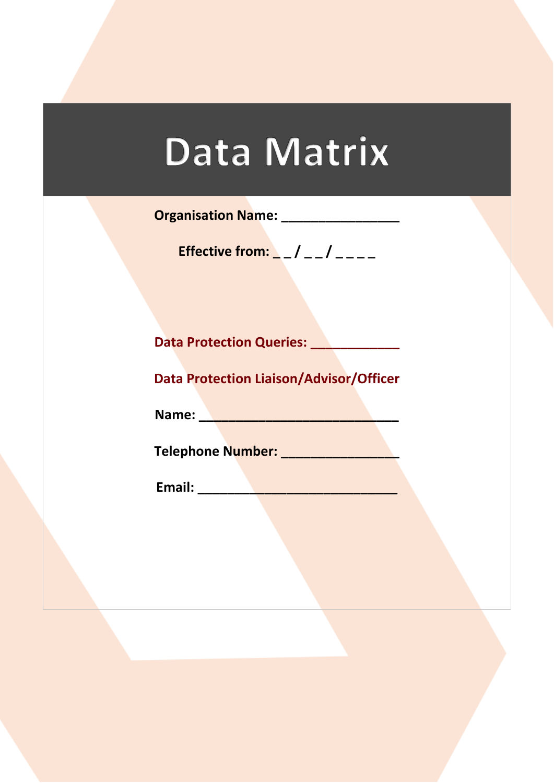## Data Matrix

**Organisation Name: \_\_\_\_\_\_\_\_\_\_\_\_\_\_\_\_**

**Effective from:** \_ \_ / \_ \_ / \_ \_ \_ \_

**Data Protection Queries: \_\_\_\_\_\_\_\_\_\_\_\_**

**Data Protection Liaison/Advisor/Officer**

**Name: \_\_\_\_\_\_\_\_\_\_\_\_\_\_\_\_\_\_\_\_\_\_\_\_\_\_\_\_\_** 

**Telephone Number: \_\_\_\_\_\_\_\_\_\_\_\_\_\_\_\_**

**Email: \_\_\_\_\_\_\_\_\_\_\_\_\_\_\_\_\_\_\_\_\_\_\_\_\_\_\_**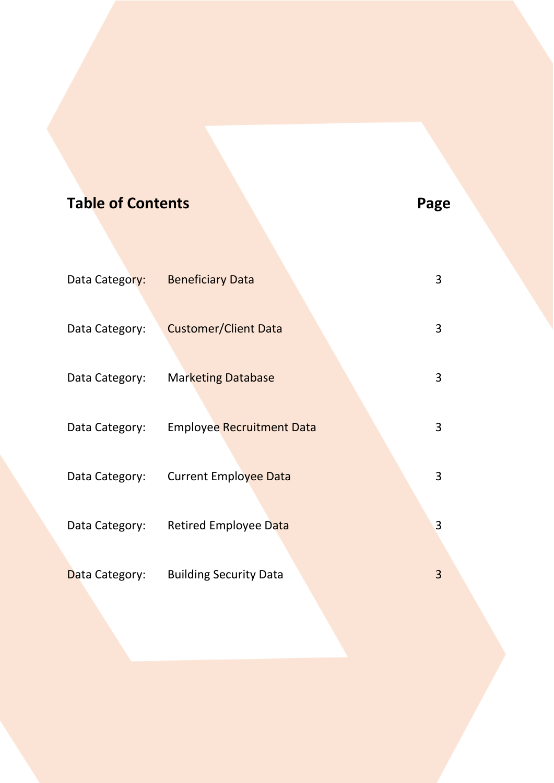| <b>Table of Contents</b> |                                  | Page |
|--------------------------|----------------------------------|------|
|                          |                                  |      |
| Data Category:           | <b>Beneficiary Data</b>          | 3    |
| Data Category:           | <b>Customer/Client Data</b>      | 3    |
| Data Category:           | <b>Marketing Database</b>        | 3    |
| Data Category:           | <b>Employee Recruitment Data</b> | 3    |
| Data Category:           | <b>Current Employee Data</b>     | 3    |
| Data Category:           | Retired Employee Data            | 3    |
| Data Category:           | <b>Building Security Data</b>    | 3    |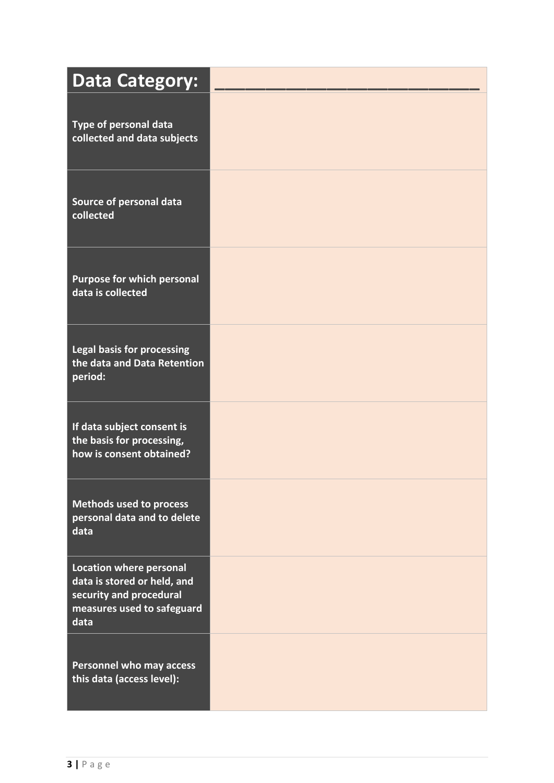| <b>Data Category:</b>                                                                                                          |  |
|--------------------------------------------------------------------------------------------------------------------------------|--|
| Type of personal data<br>collected and data subjects                                                                           |  |
| Source of personal data<br>collected                                                                                           |  |
| <b>Purpose for which personal</b><br>data is collected                                                                         |  |
| <b>Legal basis for processing</b><br>the data and Data Retention<br>period:                                                    |  |
| If data subject consent is<br>the basis for processing,<br>how is consent obtained?                                            |  |
| <b>Methods used to process</b><br>personal data and to delete<br>data                                                          |  |
| <b>Location where personal</b><br>data is stored or held, and<br>security and procedural<br>measures used to safeguard<br>data |  |
| <b>Personnel who may access</b><br>this data (access level):                                                                   |  |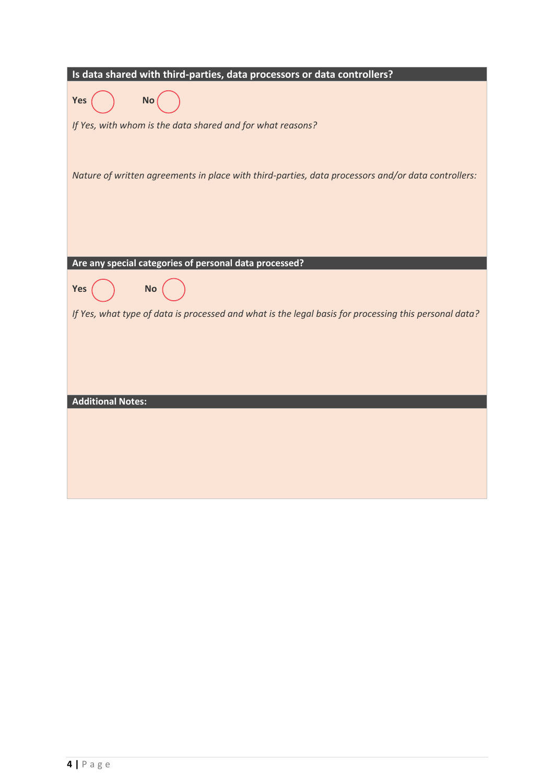| Is data shared with third-parties, data processors or data controllers?                               |
|-------------------------------------------------------------------------------------------------------|
| Yes<br><b>No</b>                                                                                      |
| If Yes, with whom is the data shared and for what reasons?                                            |
|                                                                                                       |
| Nature of written agreements in place with third-parties, data processors and/or data controllers:    |
|                                                                                                       |
|                                                                                                       |
|                                                                                                       |
| Are any special categories of personal data processed?                                                |
| <b>No</b><br>Yes                                                                                      |
| If Yes, what type of data is processed and what is the legal basis for processing this personal data? |
|                                                                                                       |
|                                                                                                       |
|                                                                                                       |
| <b>Additional Notes:</b>                                                                              |
|                                                                                                       |
|                                                                                                       |
|                                                                                                       |
|                                                                                                       |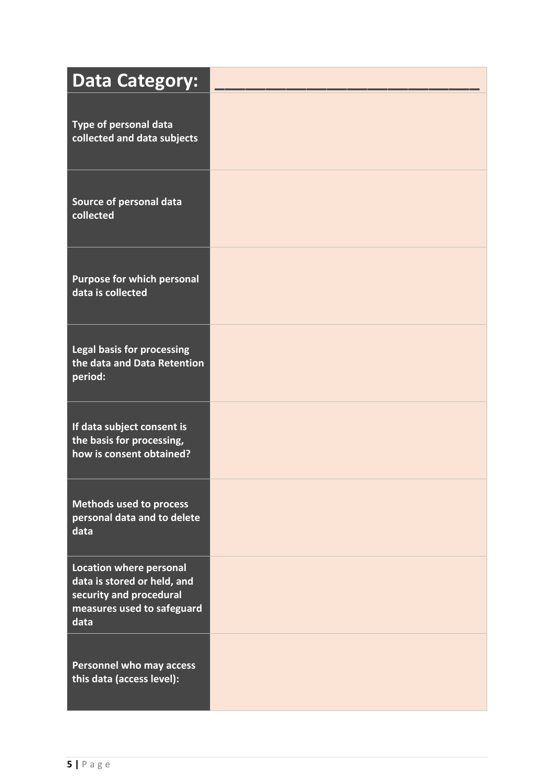| <b>Data Category:</b>                                                                                                          |  |
|--------------------------------------------------------------------------------------------------------------------------------|--|
| Type of personal data<br>collected and data subjects                                                                           |  |
| Source of personal data<br>collected                                                                                           |  |
| <b>Purpose for which personal</b><br>data is collected                                                                         |  |
| <b>Legal basis for processing</b><br>the data and Data Retention<br>period:                                                    |  |
| If data subject consent is<br>the basis for processing,<br>how is consent obtained?                                            |  |
| <b>Methods used to process</b><br>personal data and to delete<br>data                                                          |  |
| <b>Location where personal</b><br>data is stored or held, and<br>security and procedural<br>measures used to safeguard<br>data |  |
| Personnel who may access<br>this data (access level):                                                                          |  |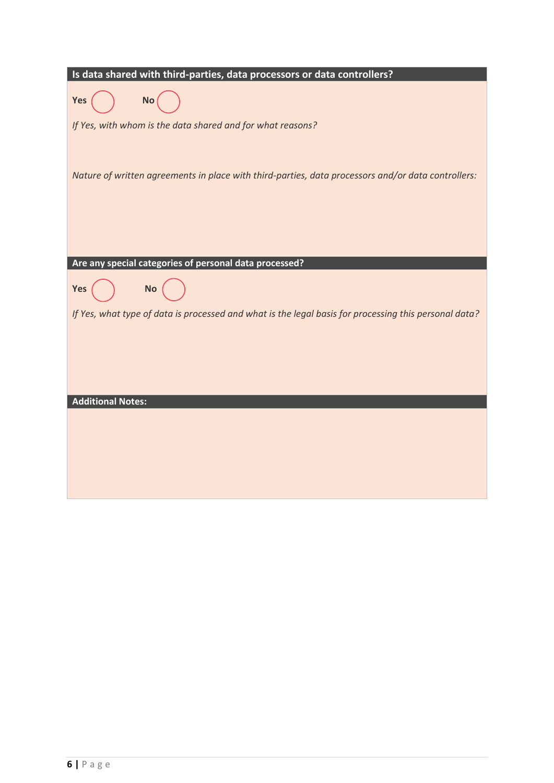| Is data shared with third-parties, data processors or data controllers?                               |
|-------------------------------------------------------------------------------------------------------|
| Yes<br><b>No</b>                                                                                      |
| If Yes, with whom is the data shared and for what reasons?                                            |
|                                                                                                       |
| Nature of written agreements in place with third-parties, data processors and/or data controllers:    |
|                                                                                                       |
|                                                                                                       |
|                                                                                                       |
| Are any special categories of personal data processed?                                                |
| <b>No</b><br>Yes                                                                                      |
| If Yes, what type of data is processed and what is the legal basis for processing this personal data? |
|                                                                                                       |
|                                                                                                       |
|                                                                                                       |
| <b>Additional Notes:</b>                                                                              |
|                                                                                                       |
|                                                                                                       |
|                                                                                                       |
|                                                                                                       |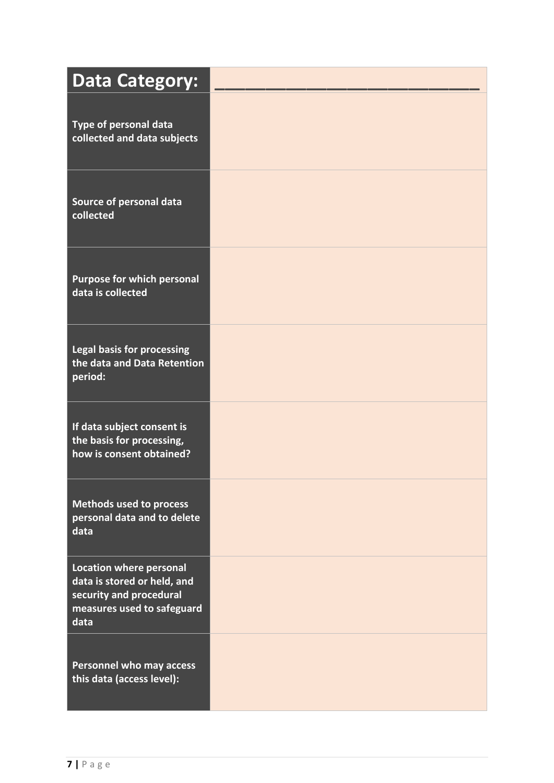| <b>Data Category:</b>                                                                                                          |  |
|--------------------------------------------------------------------------------------------------------------------------------|--|
| Type of personal data<br>collected and data subjects                                                                           |  |
| Source of personal data<br>collected                                                                                           |  |
| <b>Purpose for which personal</b><br>data is collected                                                                         |  |
| <b>Legal basis for processing</b><br>the data and Data Retention<br>period:                                                    |  |
| If data subject consent is<br>the basis for processing,<br>how is consent obtained?                                            |  |
| <b>Methods used to process</b><br>personal data and to delete<br>data                                                          |  |
| <b>Location where personal</b><br>data is stored or held, and<br>security and procedural<br>measures used to safeguard<br>data |  |
| Personnel who may access<br>this data (access level):                                                                          |  |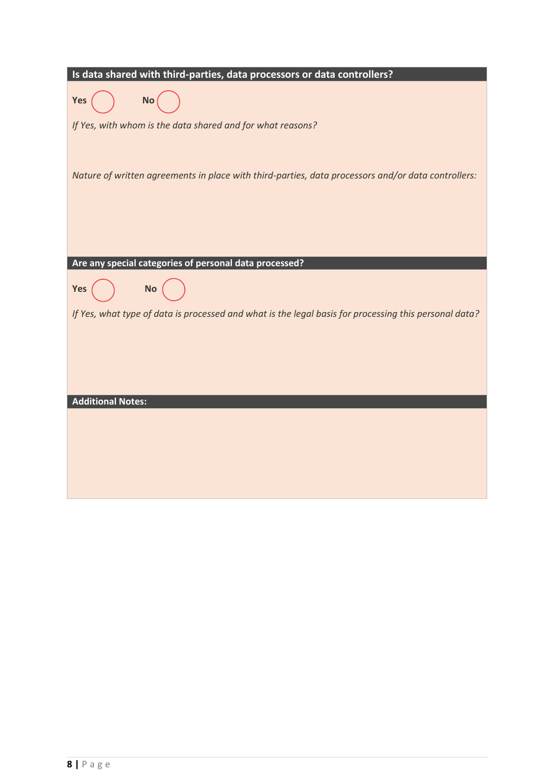| Is data shared with third-parties, data processors or data controllers?                               |
|-------------------------------------------------------------------------------------------------------|
| Yes<br><b>No</b>                                                                                      |
| If Yes, with whom is the data shared and for what reasons?                                            |
|                                                                                                       |
| Nature of written agreements in place with third-parties, data processors and/or data controllers:    |
|                                                                                                       |
|                                                                                                       |
|                                                                                                       |
| Are any special categories of personal data processed?                                                |
| <b>No</b><br>Yes                                                                                      |
| If Yes, what type of data is processed and what is the legal basis for processing this personal data? |
|                                                                                                       |
|                                                                                                       |
|                                                                                                       |
| <b>Additional Notes:</b>                                                                              |
|                                                                                                       |
|                                                                                                       |
|                                                                                                       |
|                                                                                                       |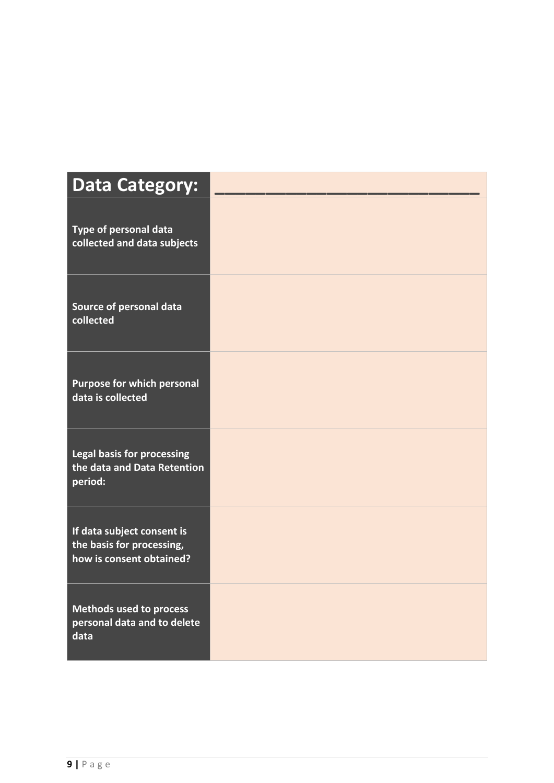| <b>Data Category:</b>                                                               |  |
|-------------------------------------------------------------------------------------|--|
| Type of personal data<br>collected and data subjects                                |  |
| Source of personal data<br>collected                                                |  |
| Purpose for which personal<br>data is collected                                     |  |
| <b>Legal basis for processing</b><br>the data and Data Retention<br>period:         |  |
| If data subject consent is<br>the basis for processing,<br>how is consent obtained? |  |
| Methods used to process<br>personal data and to delete<br>data                      |  |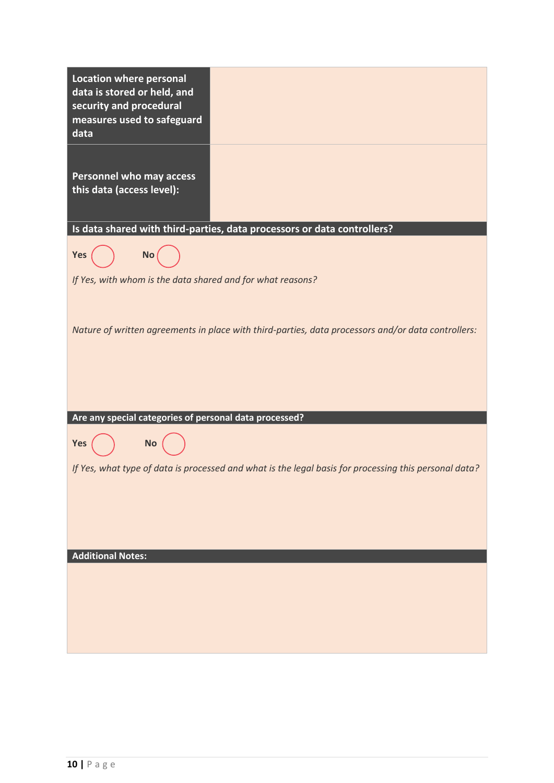| <b>Location where personal</b><br>data is stored or held, and<br>security and procedural<br>measures used to safeguard<br>data |                                                                                                       |
|--------------------------------------------------------------------------------------------------------------------------------|-------------------------------------------------------------------------------------------------------|
| <b>Personnel who may access</b><br>this data (access level):                                                                   |                                                                                                       |
| Is data shared with third-parties, data processors or data controllers?                                                        |                                                                                                       |
| No<br>Yes                                                                                                                      |                                                                                                       |
| If Yes, with whom is the data shared and for what reasons?                                                                     |                                                                                                       |
|                                                                                                                                |                                                                                                       |
|                                                                                                                                | Nature of written agreements in place with third-parties, data processors and/or data controllers:    |
| Are any special categories of personal data processed?                                                                         |                                                                                                       |
| <b>No</b><br><b>Yes</b>                                                                                                        |                                                                                                       |
|                                                                                                                                | If Yes, what type of data is processed and what is the legal basis for processing this personal data? |
|                                                                                                                                |                                                                                                       |
| <b>Additional Notes:</b>                                                                                                       |                                                                                                       |
|                                                                                                                                |                                                                                                       |
|                                                                                                                                |                                                                                                       |
|                                                                                                                                |                                                                                                       |
|                                                                                                                                |                                                                                                       |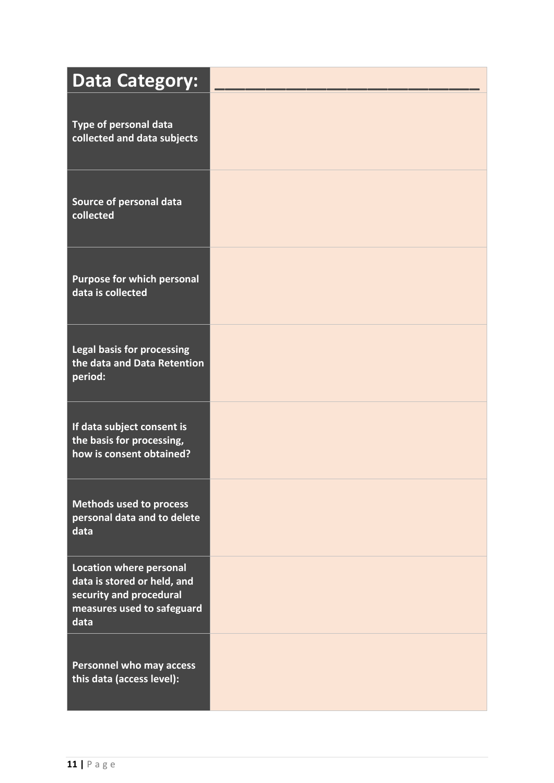| <b>Data Category:</b>                                                                                                          |  |
|--------------------------------------------------------------------------------------------------------------------------------|--|
| Type of personal data<br>collected and data subjects                                                                           |  |
| Source of personal data<br>collected                                                                                           |  |
| <b>Purpose for which personal</b><br>data is collected                                                                         |  |
| <b>Legal basis for processing</b><br>the data and Data Retention<br>period:                                                    |  |
| If data subject consent is<br>the basis for processing,<br>how is consent obtained?                                            |  |
| <b>Methods used to process</b><br>personal data and to delete<br>data                                                          |  |
| <b>Location where personal</b><br>data is stored or held, and<br>security and procedural<br>measures used to safeguard<br>data |  |
| Personnel who may access<br>this data (access level):                                                                          |  |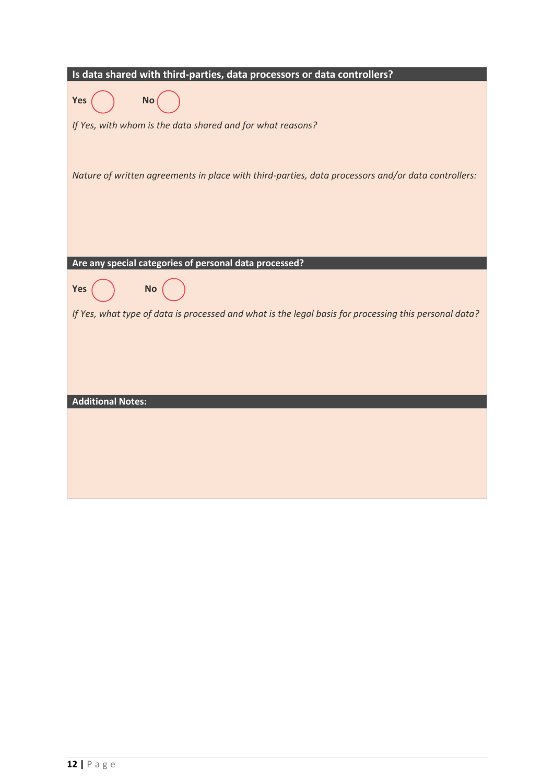| Is data shared with third-parties, data processors or data controllers?                               |
|-------------------------------------------------------------------------------------------------------|
| Yes<br><b>No</b>                                                                                      |
| If Yes, with whom is the data shared and for what reasons?                                            |
|                                                                                                       |
| Nature of written agreements in place with third-parties, data processors and/or data controllers:    |
|                                                                                                       |
|                                                                                                       |
|                                                                                                       |
| Are any special categories of personal data processed?                                                |
| <b>No</b><br>Yes                                                                                      |
| If Yes, what type of data is processed and what is the legal basis for processing this personal data? |
|                                                                                                       |
|                                                                                                       |
|                                                                                                       |
| <b>Additional Notes:</b>                                                                              |
|                                                                                                       |
|                                                                                                       |
|                                                                                                       |
|                                                                                                       |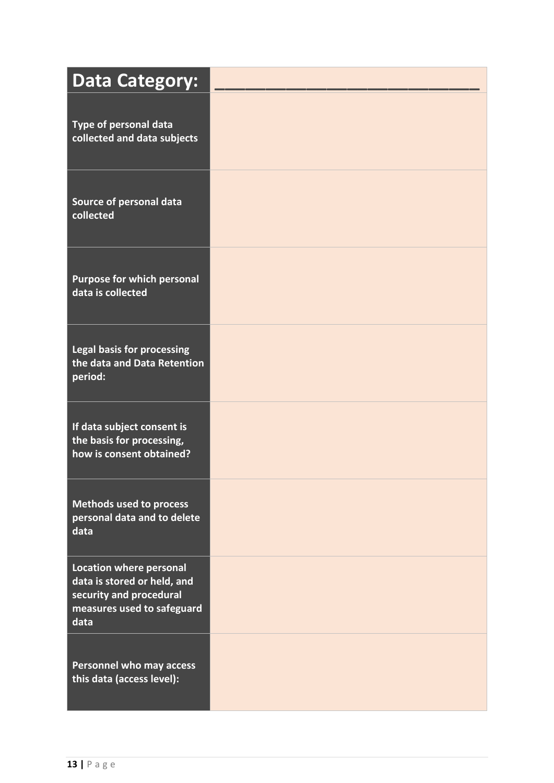| <b>Data Category:</b>                                                                                                          |  |
|--------------------------------------------------------------------------------------------------------------------------------|--|
| Type of personal data<br>collected and data subjects                                                                           |  |
| Source of personal data<br>collected                                                                                           |  |
| <b>Purpose for which personal</b><br>data is collected                                                                         |  |
| <b>Legal basis for processing</b><br>the data and Data Retention<br>period:                                                    |  |
| If data subject consent is<br>the basis for processing,<br>how is consent obtained?                                            |  |
| <b>Methods used to process</b><br>personal data and to delete<br>data                                                          |  |
| <b>Location where personal</b><br>data is stored or held, and<br>security and procedural<br>measures used to safeguard<br>data |  |
| <b>Personnel who may access</b><br>this data (access level):                                                                   |  |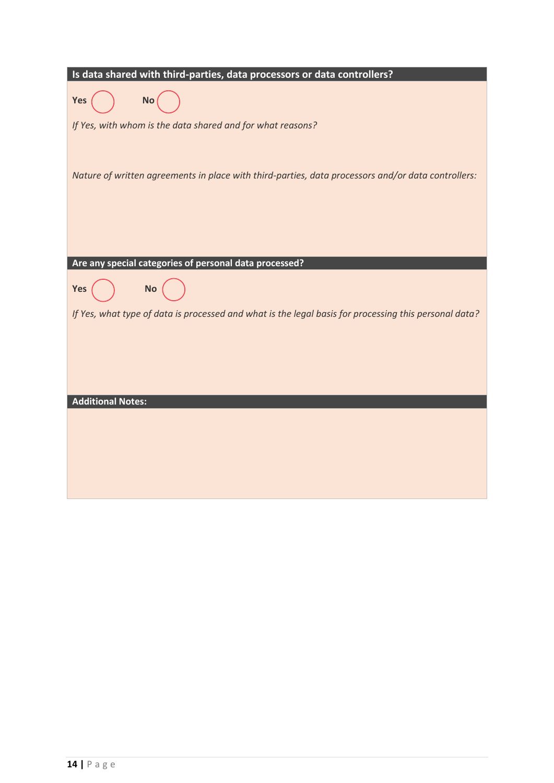| Is data shared with third-parties, data processors or data controllers?                               |  |  |
|-------------------------------------------------------------------------------------------------------|--|--|
| Yes<br><b>No</b>                                                                                      |  |  |
| If Yes, with whom is the data shared and for what reasons?                                            |  |  |
|                                                                                                       |  |  |
| Nature of written agreements in place with third-parties, data processors and/or data controllers:    |  |  |
|                                                                                                       |  |  |
|                                                                                                       |  |  |
|                                                                                                       |  |  |
| Are any special categories of personal data processed?                                                |  |  |
| <b>No</b><br>Yes                                                                                      |  |  |
| If Yes, what type of data is processed and what is the legal basis for processing this personal data? |  |  |
|                                                                                                       |  |  |
|                                                                                                       |  |  |
|                                                                                                       |  |  |
| <b>Additional Notes:</b>                                                                              |  |  |
|                                                                                                       |  |  |
|                                                                                                       |  |  |
|                                                                                                       |  |  |
|                                                                                                       |  |  |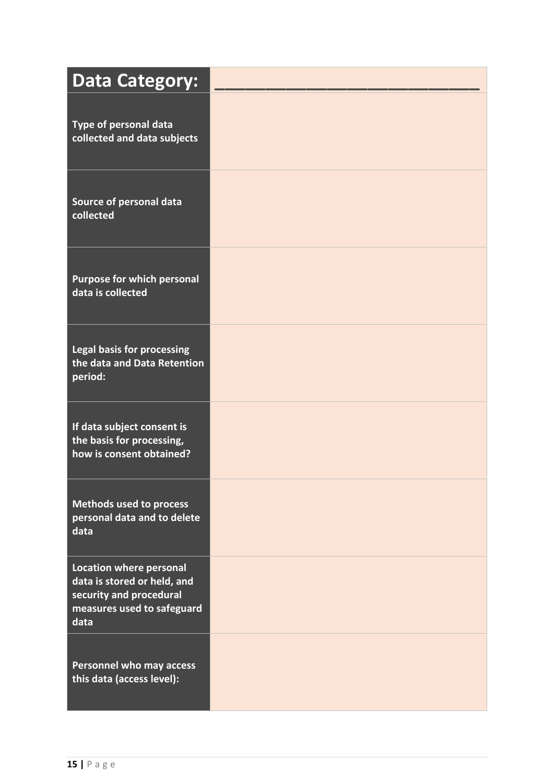| <b>Data Category:</b>                                                                                                          |  |
|--------------------------------------------------------------------------------------------------------------------------------|--|
| Type of personal data<br>collected and data subjects                                                                           |  |
| Source of personal data<br>collected                                                                                           |  |
| <b>Purpose for which personal</b><br>data is collected                                                                         |  |
| <b>Legal basis for processing</b><br>the data and Data Retention<br>period:                                                    |  |
| If data subject consent is<br>the basis for processing,<br>how is consent obtained?                                            |  |
| <b>Methods used to process</b><br>personal data and to delete<br>data                                                          |  |
| <b>Location where personal</b><br>data is stored or held, and<br>security and procedural<br>measures used to safeguard<br>data |  |
| Personnel who may access<br>this data (access level):                                                                          |  |